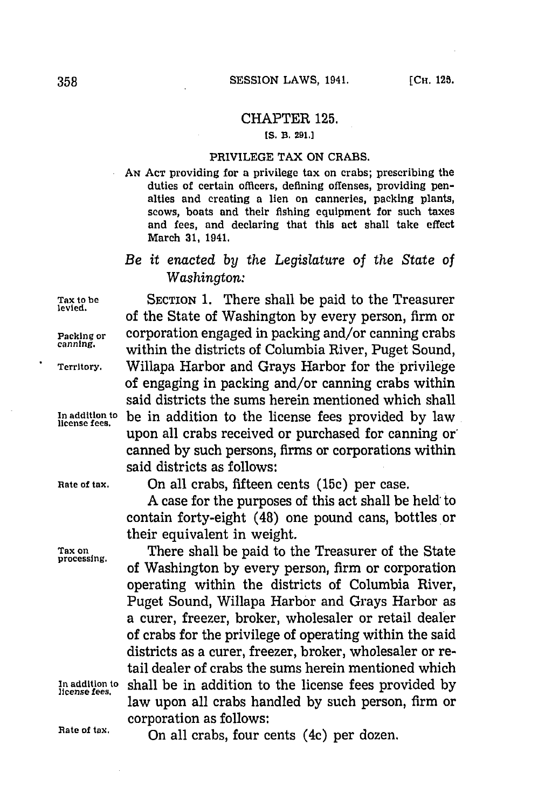## CHAPTER **125.**

## **[S. B. 291.1**

## PRIVILEGE TAX **ON** CRABS.

**AN ACT** providing for a privilege tax on crabs; prescribing the duties of certain officers, defining offenses, providing penalties and creating a lien on canneries, packing plants, scows, boats and their fishing equipment for such taxes and fees, and declaring that this act shall take effect March **31,** 1941.

## *Be it enacted by the Legislature* of *the State of Washington:*

of the State of Washington by every person, firm or

within the districts of Columbia River, Puget Sound,

of engaging in packing and/or canning crabs within said districts the sums herein mentioned which shall

upon all crabs received or purchased for canning or' canned **by** such persons, firms or corporations within

Tax to be **SECTION 1.** There shall be paid to the Treasurer

**Packing or** corporation engaged in packing and/or canning crabs

**Territory.** Willapa Harbor and Grays Harbor for the privilege

**In addition to** be in addition to the license fees provided **by** law **license fees.**

**Rate of tax.** On all crabs, fifteen cents **(15c)** per case.

said districts as follows:

**A** case for the purposes of this act shall be held: to contain forty-eight (48) one pound cans, bottles or their equivalent in weight.

Tax on **There shall be paid to the Treasurer of the State** processing. **processing. Of** Washington **by** every person, firm or corporation operating within the districts of Columbia River, Puget Sound, Willapa Harbor and Grays Harbor as a curer, freezer, broker, wholesaler or retail dealer of crabs for the privilege of operating within the said districts as a curer, freezer, broker, wholesaler or retail dealer of crabs the sums herein mentioned which **In addition to** shall be in addition to the license fees provided **by license fees.** law upon all crabs handled **by** such person, firm or corporation as follows:

Rate of tax. **On all crabs, four cents (4c) per dozen.**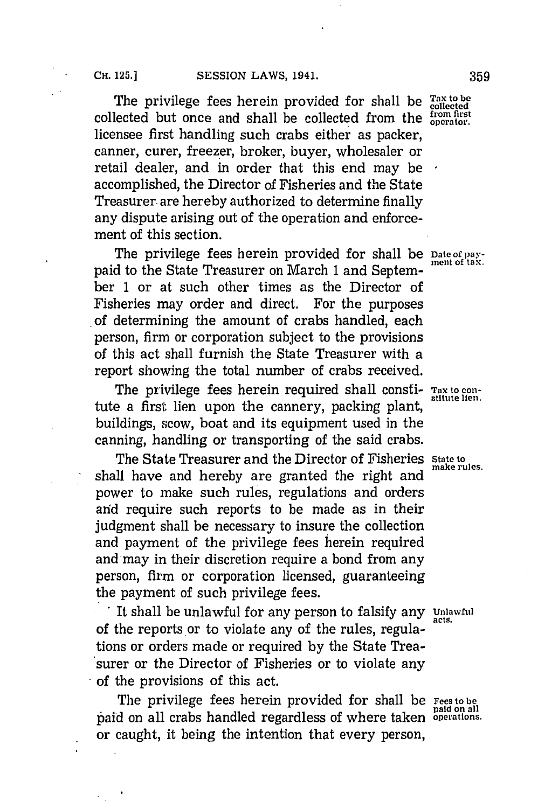The privilege fees herein provided for shall be  $_{collected}^{Tax to be}$ collected but once and shall be collected from the *trom first* collected **but** operator. licensee first handling such crabs either as packer, canner, curer, freezer, broker, buyer, wholesaler or retail dealer, and in order that this end may be accomplished, the Director of Fisheries and the State Treasurer are hereby authorized to determine finally any dispute arising out of the operation and enforcement of this section.

The privilege fees herein provided for shall be **Date of pay-**<br>ment of tax. paid to the State Treasurer on March 1 and September **1** or at such other times as the Director of Fisheries may order and direct. For the purposes of determining the amount of crabs handled, each person, firm or corporation subject to the provisions of this act shall furnish the State Treasurer with a report showing the total number of crabs received.

The privilege fees herein required shall consti- Tax to contute a first lien upon the cannery, packing plant, buildings, scow, boat and its equipment used in the canning, handling or transporting of the said crabs.

The State Treasurer and the Director of Fisheries State to make rules. shall have and hereby are granted the right and power to make such rules, regulations and orders arid require such reports to be made as in their judgment shall be necessary to insure the collection and payment of the privilege fees herein required and may in their discretion require a bond from any person, firm or corporation licensed, guaranteeing the payment of such privilege fees.

It shall be unlawful for any person to falsify any **Unlawful** of the reports or to violate any of the rules, regulations or orders made or required **by** the State Treasurer or the Director of Fisheries or to violate any of the provisions of this act.

The privilege fees herein provided for shall be **Fees to be paid on all** paid on all crabs handled regardless of where taken **operations.** or caught, it being the intention that every person,